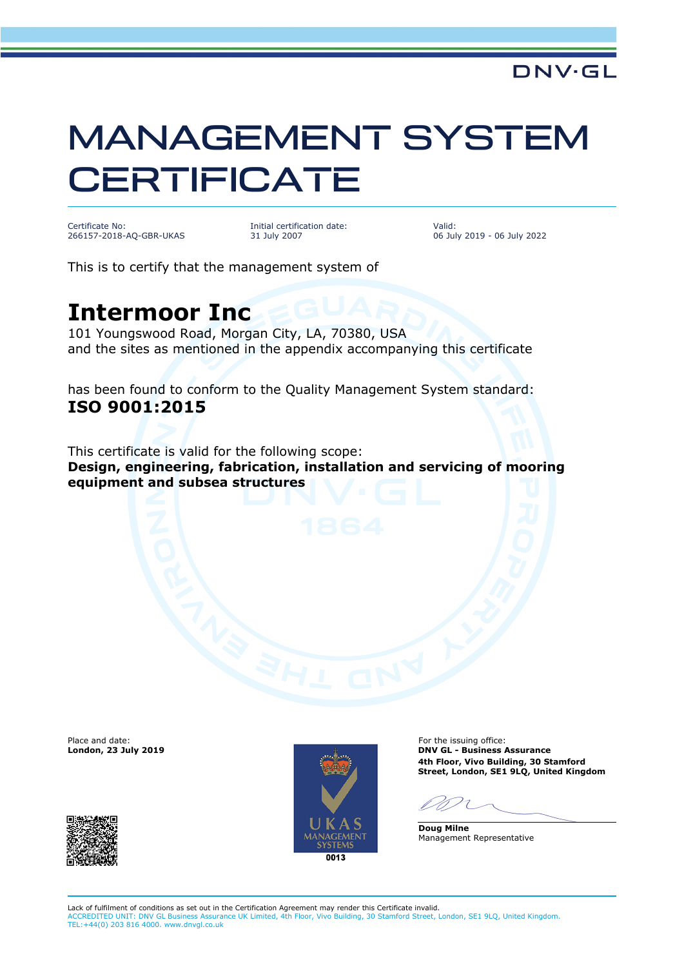## MANAGEMENT SYSTEM **CERTIFICATE**

Certificate No: 266157-2018-AQ-GBR-UKAS Initial certification date: 31 July 2007

Valid: 06 July 2019 - 06 July 2022

This is to certify that the management system of

## **Intermoor Inc**

101 Youngswood Road, Morgan City, LA, 70380, USA and the sites as mentioned in the appendix accompanying this certificate

has been found to conform to the Quality Management System standard: **ISO 9001:2015**

This certificate is valid for the following scope: **Design, engineering, fabrication, installation and servicing of mooring equipment and subsea structures**

Place and date:<br>London, 23 July 2019



For the issuing office: **London, 23 July 2019 DNV GL - Business Assurance 4th Floor, Vivo Building, 30 Stamford Street, London, SE1 9LQ, United Kingdom**

**Doug Milne** Management Representative